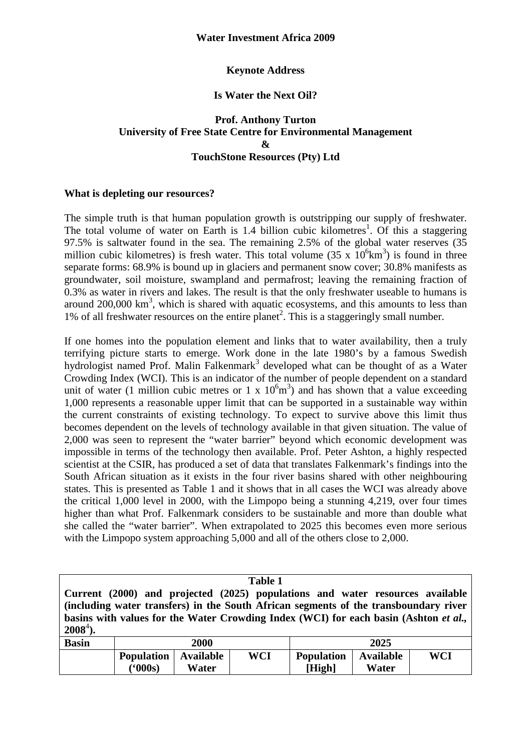# **Keynote Address**

## **Is Water the Next Oil?**

## **Prof. Anthony Turton University of Free State Centre for Environmental Management & TouchStone Resources (Pty) Ltd**

## **What is depleting our resources?**

**('000s)** 

**Water** 

The simple truth is that human population growth is outstripping our supply of freshwater. The total volume of water on Earth is  $1.4$  billion cubic kilometres<sup>1</sup>. Of this a staggering 97.5% is saltwater found in the sea. The remaining 2.5% of the global water reserves (35 million cubic kilometres) is fresh water. This total volume  $(35 \times 10^6 \text{km}^3)$  is found in three separate forms: 68.9% is bound up in glaciers and permanent snow cover; 30.8% manifests as groundwater, soil moisture, swampland and permafrost; leaving the remaining fraction of 0.3% as water in rivers and lakes. The result is that the only freshwater useable to humans is around  $200,000 \text{ km}^3$ , which is shared with aquatic ecosystems, and this amounts to less than 1% of all freshwater resources on the entire planet<sup>2</sup>. This is a staggeringly small number.

If one homes into the population element and links that to water availability, then a truly terrifying picture starts to emerge. Work done in the late 1980's by a famous Swedish hydrologist named Prof. Malin Falkenmark<sup>3</sup> developed what can be thought of as a Water Crowding Index (WCI). This is an indicator of the number of people dependent on a standard unit of water (1 million cubic metres or 1 x  $10<sup>6</sup>m<sup>3</sup>$ ) and has shown that a value exceeding 1,000 represents a reasonable upper limit that can be supported in a sustainable way within the current constraints of existing technology. To expect to survive above this limit thus becomes dependent on the levels of technology available in that given situation. The value of 2,000 was seen to represent the "water barrier" beyond which economic development was impossible in terms of the technology then available. Prof. Peter Ashton, a highly respected scientist at the CSIR, has produced a set of data that translates Falkenmark's findings into the South African situation as it exists in the four river basins shared with other neighbouring states. This is presented as Table 1 and it shows that in all cases the WCI was already above the critical 1,000 level in 2000, with the Limpopo being a stunning 4,219, over four times higher than what Prof. Falkenmark considers to be sustainable and more than double what she called the "water barrier". When extrapolated to 2025 this becomes even more serious with the Limpopo system approaching 5,000 and all of the others close to 2,000.

| <b>Table 1</b>                                                                               |                               |  |            |                                                                               |           |     |  |  |  |  |
|----------------------------------------------------------------------------------------------|-------------------------------|--|------------|-------------------------------------------------------------------------------|-----------|-----|--|--|--|--|
|                                                                                              |                               |  |            | Current (2000) and projected (2025) populations and water resources available |           |     |  |  |  |  |
| (including water transfers) in the South African segments of the transboundary river         |                               |  |            |                                                                               |           |     |  |  |  |  |
| basins with values for the Water Crowding Index (WCI) for each basin (Ashton <i>et al.</i> , |                               |  |            |                                                                               |           |     |  |  |  |  |
| $2008^4$ ).                                                                                  |                               |  |            |                                                                               |           |     |  |  |  |  |
| <b>Basin</b>                                                                                 | 2000                          |  |            | 2025                                                                          |           |     |  |  |  |  |
|                                                                                              | <b>Population</b>   Available |  | <b>WCI</b> | <b>Population</b>                                                             | Available | WCI |  |  |  |  |

**[High]** 

**Water**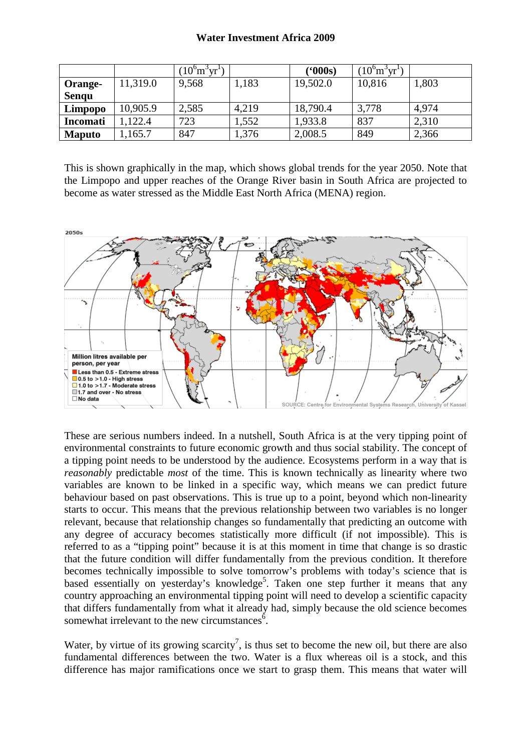#### **Water Investment Africa 2009**

|                 |          | $(10^6 \text{m}^3 \text{yr}^1)$ |       | (5000s)  | $(10^6 \text{m}^3 \text{yr}^1)$ |       |
|-----------------|----------|---------------------------------|-------|----------|---------------------------------|-------|
| Orange-         | 11,319.0 | 9,568                           | 1,183 | 19,502.0 | 10,816                          | 1,803 |
| <b>Sengu</b>    |          |                                 |       |          |                                 |       |
| Limpopo         | 10,905.9 | 2,585                           | 4,219 | 18,790.4 | 3,778                           | 4,974 |
| <b>Incomati</b> | 122.4    | 723                             | 1,552 | 1,933.8  | 837                             | 2,310 |
| <b>Maputo</b>   | .165.7   | 847                             | 1,376 | 2,008.5  | 849                             | 2,366 |

This is shown graphically in the map, which shows global trends for the year 2050. Note that the Limpopo and upper reaches of the Orange River basin in South Africa are projected to become as water stressed as the Middle East North Africa (MENA) region.



These are serious numbers indeed. In a nutshell, South Africa is at the very tipping point of environmental constraints to future economic growth and thus social stability. The concept of a tipping point needs to be understood by the audience. Ecosystems perform in a way that is *reasonably* predictable *most* of the time. This is known technically as linearity where two variables are known to be linked in a specific way, which means we can predict future behaviour based on past observations. This is true up to a point, beyond which non-linearity starts to occur. This means that the previous relationship between two variables is no longer relevant, because that relationship changes so fundamentally that predicting an outcome with any degree of accuracy becomes statistically more difficult (if not impossible). This is referred to as a "tipping point" because it is at this moment in time that change is so drastic that the future condition will differ fundamentally from the previous condition. It therefore becomes technically impossible to solve tomorrow's problems with today's science that is based essentially on yesterday's knowledge<sup>5</sup>. Taken one step further it means that any country approaching an environmental tipping point will need to develop a scientific capacity that differs fundamentally from what it already had, simply because the old science becomes somewhat irrelevant to the new circumstances<sup>6</sup>.

Water, by virtue of its growing scarcity<sup>7</sup>, is thus set to become the new oil, but there are also fundamental differences between the two. Water is a flux whereas oil is a stock, and this difference has major ramifications once we start to grasp them. This means that water will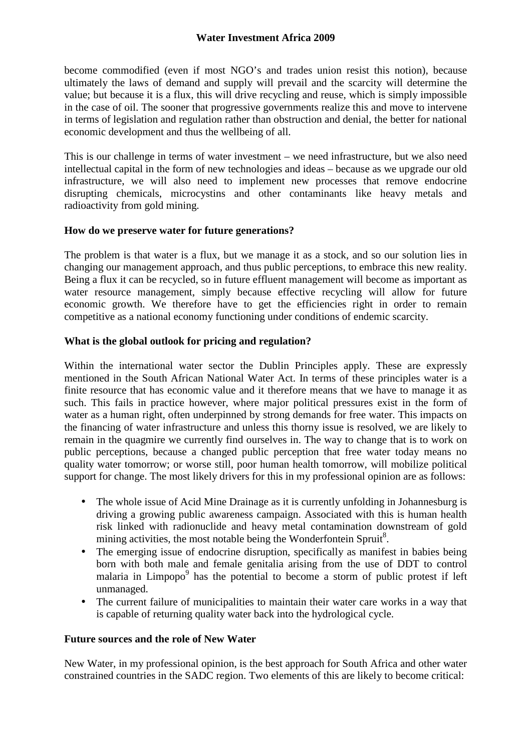become commodified (even if most NGO's and trades union resist this notion), because ultimately the laws of demand and supply will prevail and the scarcity will determine the value; but because it is a flux, this will drive recycling and reuse, which is simply impossible in the case of oil. The sooner that progressive governments realize this and move to intervene in terms of legislation and regulation rather than obstruction and denial, the better for national economic development and thus the wellbeing of all.

This is our challenge in terms of water investment – we need infrastructure, but we also need intellectual capital in the form of new technologies and ideas – because as we upgrade our old infrastructure, we will also need to implement new processes that remove endocrine disrupting chemicals, microcystins and other contaminants like heavy metals and radioactivity from gold mining.

## **How do we preserve water for future generations?**

The problem is that water is a flux, but we manage it as a stock, and so our solution lies in changing our management approach, and thus public perceptions, to embrace this new reality. Being a flux it can be recycled, so in future effluent management will become as important as water resource management, simply because effective recycling will allow for future economic growth. We therefore have to get the efficiencies right in order to remain competitive as a national economy functioning under conditions of endemic scarcity.

## **What is the global outlook for pricing and regulation?**

Within the international water sector the Dublin Principles apply. These are expressly mentioned in the South African National Water Act. In terms of these principles water is a finite resource that has economic value and it therefore means that we have to manage it as such. This fails in practice however, where major political pressures exist in the form of water as a human right, often underpinned by strong demands for free water. This impacts on the financing of water infrastructure and unless this thorny issue is resolved, we are likely to remain in the quagmire we currently find ourselves in. The way to change that is to work on public perceptions, because a changed public perception that free water today means no quality water tomorrow; or worse still, poor human health tomorrow, will mobilize political support for change. The most likely drivers for this in my professional opinion are as follows:

- The whole issue of Acid Mine Drainage as it is currently unfolding in Johannesburg is driving a growing public awareness campaign. Associated with this is human health risk linked with radionuclide and heavy metal contamination downstream of gold mining activities, the most notable being the Wonderfontein Spruit<sup>8</sup>.
- The emerging issue of endocrine disruption, specifically as manifest in babies being born with both male and female genitalia arising from the use of DDT to control malaria in Limpopo<sup>9</sup> has the potential to become a storm of public protest if left unmanaged.
- The current failure of municipalities to maintain their water care works in a way that is capable of returning quality water back into the hydrological cycle.

### **Future sources and the role of New Water**

New Water, in my professional opinion, is the best approach for South Africa and other water constrained countries in the SADC region. Two elements of this are likely to become critical: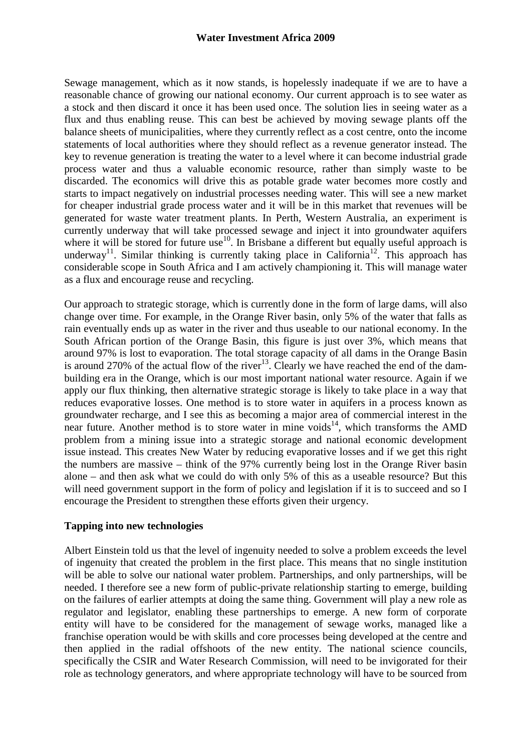Sewage management, which as it now stands, is hopelessly inadequate if we are to have a reasonable chance of growing our national economy. Our current approach is to see water as a stock and then discard it once it has been used once. The solution lies in seeing water as a flux and thus enabling reuse. This can best be achieved by moving sewage plants off the balance sheets of municipalities, where they currently reflect as a cost centre, onto the income statements of local authorities where they should reflect as a revenue generator instead. The key to revenue generation is treating the water to a level where it can become industrial grade process water and thus a valuable economic resource, rather than simply waste to be discarded. The economics will drive this as potable grade water becomes more costly and starts to impact negatively on industrial processes needing water. This will see a new market for cheaper industrial grade process water and it will be in this market that revenues will be generated for waste water treatment plants. In Perth, Western Australia, an experiment is currently underway that will take processed sewage and inject it into groundwater aquifers where it will be stored for future use<sup>10</sup>. In Brisbane a different but equally useful approach is underway<sup>11</sup>. Similar thinking is currently taking place in California<sup>12</sup>. This approach has considerable scope in South Africa and I am actively championing it. This will manage water as a flux and encourage reuse and recycling.

Our approach to strategic storage, which is currently done in the form of large dams, will also change over time. For example, in the Orange River basin, only 5% of the water that falls as rain eventually ends up as water in the river and thus useable to our national economy. In the South African portion of the Orange Basin, this figure is just over 3%, which means that around 97% is lost to evaporation. The total storage capacity of all dams in the Orange Basin is around 270% of the actual flow of the river<sup>13</sup>. Clearly we have reached the end of the dambuilding era in the Orange, which is our most important national water resource. Again if we apply our flux thinking, then alternative strategic storage is likely to take place in a way that reduces evaporative losses. One method is to store water in aquifers in a process known as groundwater recharge, and I see this as becoming a major area of commercial interest in the near future. Another method is to store water in mine voids<sup>14</sup>, which transforms the AMD problem from a mining issue into a strategic storage and national economic development issue instead. This creates New Water by reducing evaporative losses and if we get this right the numbers are massive – think of the 97% currently being lost in the Orange River basin alone – and then ask what we could do with only 5% of this as a useable resource? But this will need government support in the form of policy and legislation if it is to succeed and so I encourage the President to strengthen these efforts given their urgency.

## **Tapping into new technologies**

Albert Einstein told us that the level of ingenuity needed to solve a problem exceeds the level of ingenuity that created the problem in the first place. This means that no single institution will be able to solve our national water problem. Partnerships, and only partnerships, will be needed. I therefore see a new form of public-private relationship starting to emerge, building on the failures of earlier attempts at doing the same thing. Government will play a new role as regulator and legislator, enabling these partnerships to emerge. A new form of corporate entity will have to be considered for the management of sewage works, managed like a franchise operation would be with skills and core processes being developed at the centre and then applied in the radial offshoots of the new entity. The national science councils, specifically the CSIR and Water Research Commission, will need to be invigorated for their role as technology generators, and where appropriate technology will have to be sourced from